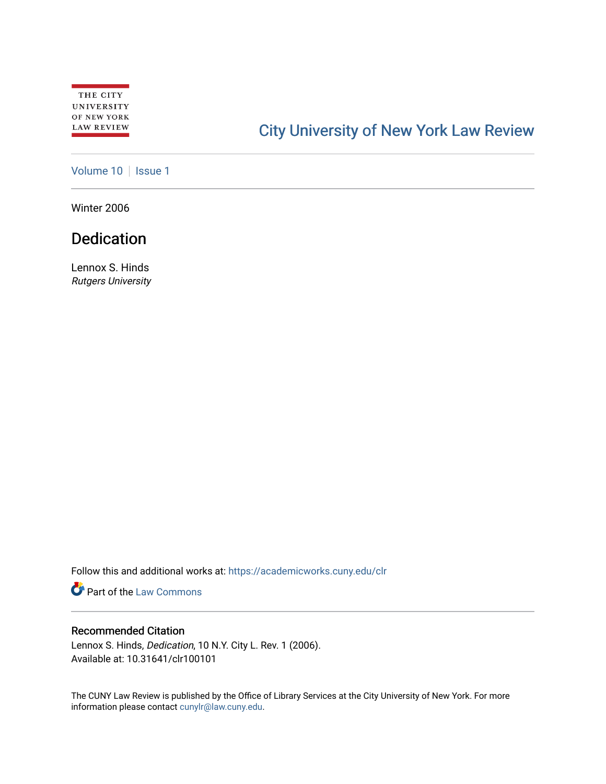# [City University of New York Law Review](https://academicworks.cuny.edu/clr)

## [Volume 10](https://academicworks.cuny.edu/clr/vol10) | [Issue 1](https://academicworks.cuny.edu/clr/vol10/iss1)

Winter 2006

## Dedication

Lennox S. Hinds Rutgers University

Follow this and additional works at: [https://academicworks.cuny.edu/clr](https://academicworks.cuny.edu/clr?utm_source=academicworks.cuny.edu%2Fclr%2Fvol10%2Fiss1%2F2&utm_medium=PDF&utm_campaign=PDFCoverPages) 

Part of the [Law Commons](http://network.bepress.com/hgg/discipline/578?utm_source=academicworks.cuny.edu%2Fclr%2Fvol10%2Fiss1%2F2&utm_medium=PDF&utm_campaign=PDFCoverPages)

### Recommended Citation

Lennox S. Hinds, Dedication, 10 N.Y. City L. Rev. 1 (2006). Available at: 10.31641/clr100101

The CUNY Law Review is published by the Office of Library Services at the City University of New York. For more information please contact [cunylr@law.cuny.edu](mailto:cunylr@law.cuny.edu).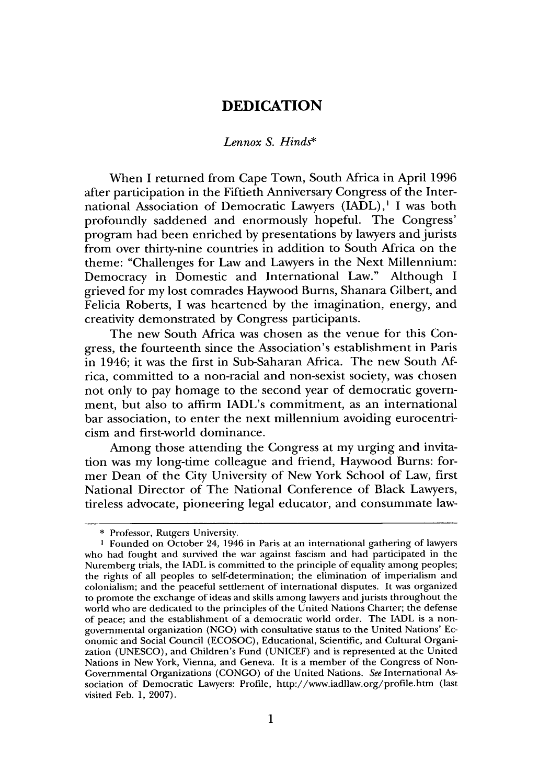### **DEDICATION**

#### *Lennox S. Hinds\**

When **I** returned from Cape Town, South Africa in April 1996 after participation in the Fiftieth Anniversary Congress of the International Association of Democratic Lawyers **(IADL),'** I was both profoundly saddened and enormously hopeful. The Congress' program had been enriched **by** presentations **by** lawyers and jurists from over thirty-nine countries in addition to South Africa on the theme: "Challenges for Law and Lawyers in the Next Millennium: Democracy in Domestic and International Law." Although **I** grieved for my lost comrades Haywood Burns, Shanara Gilbert, and Felicia Roberts, **I** was heartened **by** the imagination, energy, and creativity demonstrated **by** Congress participants.

The new South Africa was chosen as the venue for this Congress, the fourteenth since the Association's establishment in Paris in 1946; it was the first in Sub-Saharan Africa. The new South **Af**rica, committed to a non-racial and non-sexist society, was chosen not only to pay homage to the second year of democratic government, but also to affirm IADL's commitment, as an international bar association, to enter the next millennium avoiding eurocentricism and first-world dominance.

Among those attending the Congress at my urging and invitation was my long-time colleague and friend, Haywood Burns: former Dean of the City University of New York School of Law, first National Director of The National Conference of Black Lawyers, tireless advocate, pioneering legal educator, and consummate law-

**<sup>\*</sup>** Professor, Rutgers University.

**<sup>I</sup>**Founded on October 24, 1946 in Paris at an international gathering of lawyers who had fought and survived the war against fascism and had participated in the Nuremberg trials, the **IADL** is committed to the principle of equality among peoples; the rights of all peoples to self-determination; the elimination of imperialism and colonialism; and the peaceful settlement of international disputes. It was organized to promote the exchange of ideas and skills among lawyers and jurists throughout the world who are dedicated to the principles of the United Nations Charter; the defense of peace; and the establishment of a democratic world order. The **IADL** is a nongovernmental organization **(NGO)** with consultative status to the United Nations' Economic and Social Council **(ECOSOC),** Educational, Scientific, and Cultural Organization **(UNESCO),** and Children's Fund **(UNICEF)** and is represented at the United Nations in New York, Vienna, and Geneva. It is a member of the Congress of Non-Governmental Organizations **(CONGO)** of the United Nations. See International **As**sociation of Democratic Lawyers: Profile, http://www.iadllaw.org/profile.htm (last visited Feb. **1, 2007).**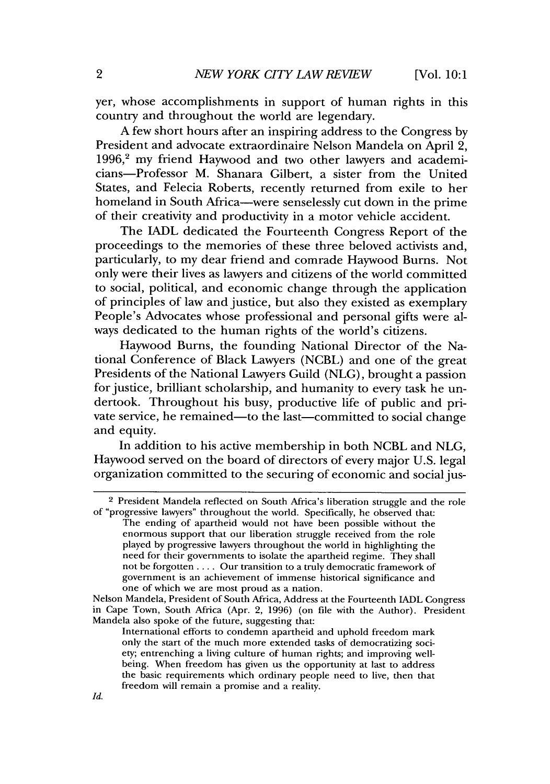yer, whose accomplishments in support of human rights in this country and throughout the world are legendary.

A few short hours after an inspiring address to the Congress by President and advocate extraordinaire Nelson Mandela on April 2, 1996,<sup>2</sup> my friend Haywood and two other lawyers and academicians-Professor M. Shanara Gilbert, a sister from the United States, and Felecia Roberts, recently returned from exile to her homeland in South Africa-were senselessly cut down in the prime of their creativity and productivity in a motor vehicle accident.

The IADL dedicated the Fourteenth Congress Report of the proceedings to the memories of these three beloved activists and, particularly, to my dear friend and comrade Haywood Burns. Not only were their lives as lawyers and citizens of the world committed to social, political, and economic change through the application of principles of law and justice, but also they existed as exemplary People's Advocates whose professional and personal gifts were always dedicated to the human rights of the world's citizens.

Haywood Burns, the founding National Director of the National Conference of Black Lawyers (NCBL) and one of the great Presidents of the National Lawyers Guild (NLG), brought a passion for justice, brilliant scholarship, and humanity to every task he undertook. Throughout his busy, productive life of public and private service, he remained-to the last-committed to social change and equity.

In addition to his active membership in both NCBL and NLG, Haywood served on the board of directors of every major U.S. legal organization committed to the securing of economic and social jus-

Nelson Mandela, President of South Africa, Address at the Fourteenth IADL Congress in Cape Town, South Africa (Apr. 2, 1996) (on file with the Author). President Mandela also spoke of the future, suggesting that:

<sup>2</sup> President Mandela reflected on South Africa's liberation struggle and the role of "progressive lawyers" throughout the world. Specifically, he observed that:

The ending of apartheid would not have been possible without the enormous support that our liberation struggle received from the role played by progressive lawyers throughout the world in highlighting the need for their governments to isolate the apartheid regime. They shall not be forgotten .... Our transition to a truly democratic framework of government is an achievement of immense historical significance and one of which we are most proud as a nation.

International efforts to condemn apartheid and uphold freedom mark only the start of the much more extended tasks of democratizing society; entrenching a living culture of human rights; and improving wellbeing. When freedom has given us the opportunity at last to address the basic requirements which ordinary people need to live, then that freedom will remain a promise and a reality.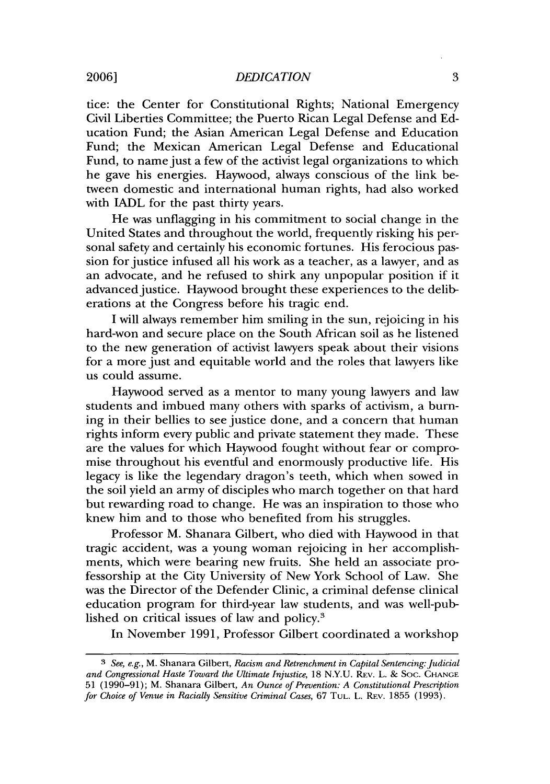tice: the Center for Constitutional Rights; National Emergency Civil Liberties Committee; the Puerto Rican Legal Defense and Education Fund; the Asian American Legal Defense and Education Fund; the Mexican American Legal Defense and Educational Fund, to name just a few of the activist legal organizations to which he gave his energies. Haywood, always conscious of the link between domestic and international human rights, had also worked with IADL for the past thirty years.

He was unflagging in his commitment to social change in the United States and throughout the world, frequently risking his personal safety and certainly his economic fortunes. His ferocious passion for justice infused all his work as a teacher, as a lawyer, and as an advocate, and he refused to shirk any unpopular position if it advanced justice. Haywood brought these experiences to the deliberations at the Congress before his tragic end.

I will always remember him smiling in the sun, rejoicing in his hard-won and secure place on the South African soil as he listened to the new generation of activist lawyers speak about their visions for a more just and equitable world and the roles that lawyers like us could assume.

Haywood served as a mentor to many young lawyers and law students and imbued many others with sparks of activism, a burning in their bellies to see justice done, and a concern that human rights inform every public and private statement they made. These are the values for which Haywood fought without fear or compromise throughout his eventful and enormously productive life. His legacy is like the legendary dragon's teeth, which when sowed in the soil yield an army of disciples who march together on that hard but rewarding road to change. He was an inspiration to those who knew him and to those who benefited from his struggles.

Professor M. Shanara Gilbert, who died with Haywood in that tragic accident, was a young woman rejoicing in her accomplishments, which were bearing new fruits. She held an associate professorship at the City University of New York School of Law. She was the Director of the Defender Clinic, a criminal defense clinical education program for third-year law students, and was well-published on critical issues of law and policy.3

In November 1991, Professor Gilbert coordinated a workshop

<sup>&</sup>lt;sup>3</sup> *See, e.g., M. Shanara Gilbert, Racism and Retrenchment in Capital Sentencing: Judicial and Congressional Haste Toward the Ultimate Injustice,* 18 N.Y.U. REv. L. & Soc. CHANGE 51 (1990-91); M. Shanara Gilbert, *An Ounce of Prevention: A Constitutional Prescription for Choice of Venue in Racially Sensitive Criminal Cases,* 67 TUL. L. REV. 1855 (1993).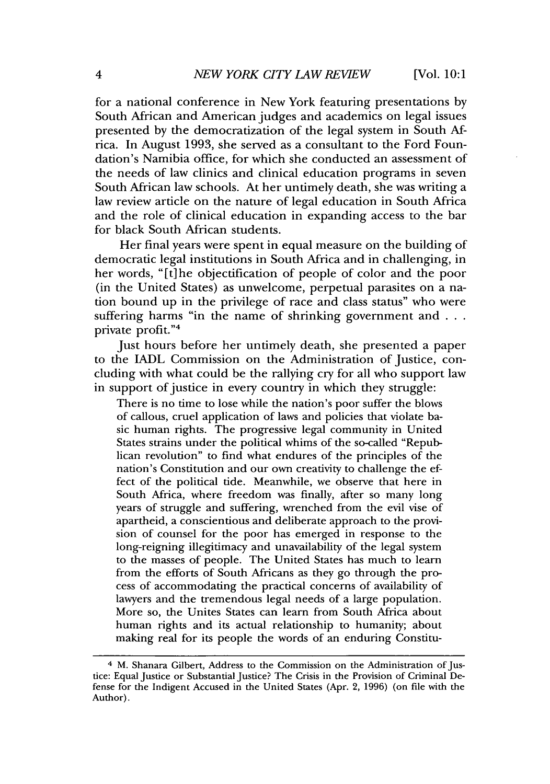for a national conference in New York featuring presentations by South African and American judges and academics on legal issues presented by the democratization of the legal system in South Africa. In August 1993, she served as a consultant to the Ford Foundation's Namibia office, for which she conducted an assessment of the needs of law clinics and clinical education programs in seven South African law schools. At her untimely death, she was writing a law review article on the nature of legal education in South Africa and the role of clinical education in expanding access to the bar for black South African students.

Her final years were spent in equal measure on the building of democratic legal institutions in South Africa and in challenging, in her words, "[t]he objectification of people of color and the poor (in the United States) as unwelcome, perpetual parasites on a nation bound up in the privilege of race and class status" who were suffering harms "in the name of shrinking government and **...** private profit."4

Just hours before her untimely death, she presented a paper to the IADL Commission on the Administration of Justice, concluding with what could be the rallying cry for all who support law in support of justice in every country in which they struggle:

There is no time to lose while the nation's poor suffer the blows of callous, cruel application of laws and policies that violate basic human rights. The progressive legal community in United States strains under the political whims of the so-called "Republican revolution" to find what endures of the principles of the nation's Constitution and our own creativity to challenge the effect of the political tide. Meanwhile, we observe that here in South Africa, where freedom was finally, after so many long years of struggle and suffering, wrenched from the evil vise of apartheid, a conscientious and deliberate approach to the provision of counsel for the poor has emerged in response to the long-reigning illegitimacy and unavailability of the legal system to the masses of people. The United States has much to learn from the efforts of South Africans as they go through the process of accommodating the practical concerns of availability of lawyers and the tremendous legal needs of a large population. More so, the Unites States can learn from South Africa about human rights and its actual relationship to humanity; about making real for its people the words of an enduring Constitu-

<sup>4</sup> M. Shanara Gilbert, Address to the Commission on the Administration of Justice: Equal Justice or Substantial Justice? The Crisis in the Provision of Criminal Defense for the Indigent Accused in the United States (Apr. 2, 1996) (on file with the Author).